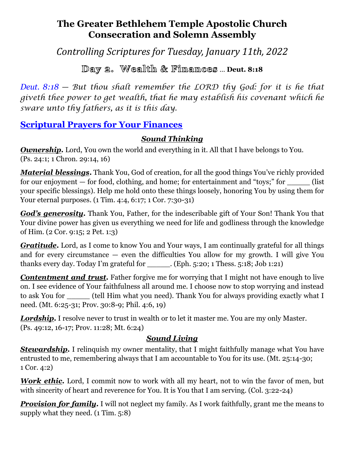# **The Greater Bethlehem Temple Apostolic Church Consecration and Solemn Assembly**

*Controlling Scriptures for Tuesday, January 11th, 2022*

Day 2. Wealth & Fimamces ... Deut. 8:18

*Deut. 8:18 — But thou shalt remember the LORD thy God: for it is he that giveth thee power to get wealth, that he may establish his covenant which he sware unto thy fathers, as it is this day.*

# **Scriptural Prayers for Your Finances**

#### *Sound Thinking*

**Ownership.** Lord, You own the world and everything in it. All that I have belongs to You. (Ps. 24:1; 1 Chron. 29:14, 16)

*Material blessings***.** Thank You, God of creation, for all the good things You've richly provided for our enjoyment  $-$  for food, clothing, and home; for entertainment and "toys;" for  $\qquad$  (list your specific blessings). Help me hold onto these things loosely, honoring You by using them for Your eternal purposes. (1 Tim. 4:4, 6:17; 1 Cor. 7:30-31)

*God's generosity.* Thank You, Father, for the indescribable gift of Your Son! Thank You that Your divine power has given us everything we need for life and godliness through the knowledge of Him. (2 Cor. 9:15; 2 Pet. 1:3)

*Gratitude***.** Lord, as I come to know You and Your ways, I am continually grateful for all things and for every circumstance — even the difficulties You allow for my growth. I will give You thanks every day. Today I'm grateful for \_\_\_\_\_. (Eph. 5:20; 1 Thess. 5:18; Job 1:21)

*Contentment and trust.* Father forgive me for worrying that I might not have enough to live on. I see evidence of Your faithfulness all around me. I choose now to stop worrying and instead to ask You for  $\qquad$  (tell Him what you need). Thank You for always providing exactly what I need. (Mt. 6:25-31; Prov. 30:8-9; Phil. 4:6, 19)

**Lordship.** I resolve never to trust in wealth or to let it master me. You are my only Master. (Ps. 49:12, 16-17; Prov. 11:28; Mt. 6:24)

## *Sound Living*

**Stewardship.** I relinquish my owner mentality, that I might faithfully manage what You have entrusted to me, remembering always that I am accountable to You for its use. (Mt. 25:14-30; 1 Cor. 4:2)

*Work ethic.* Lord, I commit now to work with all my heart, not to win the favor of men, but with sincerity of heart and reverence for You. It is You that I am serving. (Col. 3:22-24)

*Provision for family.* I will not neglect my family. As I work faithfully, grant me the means to supply what they need. (1 Tim. 5:8)